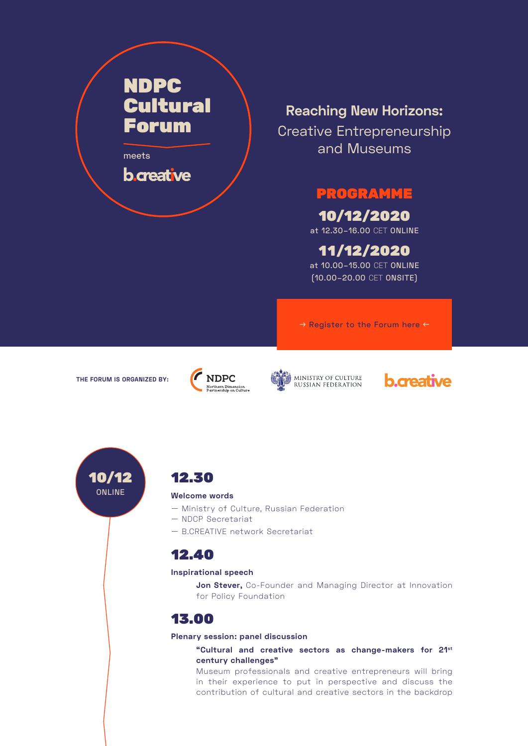# NDPC Cultural Forum

meets

**b** creative

## **Reaching New Horizons:**

Creative Entrepreneurship and Museums

## PROGRAMME

## 10/12/2020

at 12.30–16.00 CET ONLINE

## 11/12/2020

at 10.00–15.00 CET ONLINE (10.00–20.00 CET ONSITE)

→ Register to the Forum here ←

**THE FORUM IS ORGANIZED BY:**









### 12.30

#### **Welcome words**

- Ministry of Culture, Russian Federation
- NDCP Secretariat
- B.CREATIVE network Secretariat

## 12.40

#### **Inspirational speech**

**Jon Stever,** Co-Founder and Managing Director at Innovation for Policy Foundation

## 13.00

**Plenary session: panel discussion**

**"Cultural and creative sectors as change-makers for 21st century challenges"**

Museum professionals and creative entrepreneurs will bring in their experience to put in perspective and discuss the contribution of cultural and creative sectors in the backdrop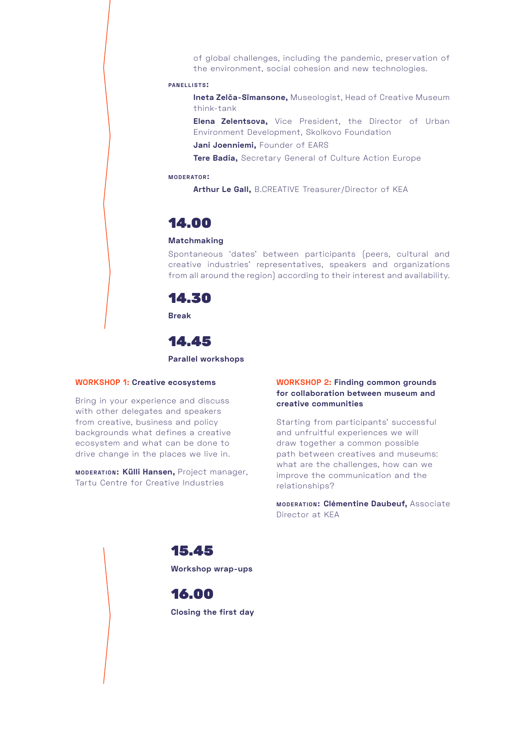of global challenges, including the pandemic, preservation of the environment, social cohesion and new technologies.

#### **pa n e l l i sts:**

**Ineta Zelča-Sīmansone,** Museologist, Head of Creative Museum think-tank

**Elena Zelentsova,** Vice President, the Director of Urban Environment Development, Skolkovo Foundation

**Jani Joenniemi,** Founder of EARS

**Tere Badia,** Secretary General of Culture Action Europe

#### **m o d e r ato r:**

**Arthur Le Gall,** B.CREATIVE Treasurer/Director of KEA

### 14.00

#### **Matchmaking**

Spontaneous 'dates' between participants (peers, cultural and creative industries' representatives, speakers and organizations from all around the region) according to their interest and availability.



**Break**

### 14.45

#### **Parallel workshops**

#### **WORKSHOP 1: Creative ecosystems**

Bring in your experience and discuss with other delegates and speakers from creative, business and policy backgrounds what defines a creative ecosystem and what can be done to drive change in the places we live in.

**MODERATION: Külli Hansen, Project manager,** Tartu Centre for Creative Industries

#### **WORKSHOP 2: Finding common grounds for collaboration between museum and creative communities**

Starting from participants' successful and unfruitful experiences we will draw together a common possible path between creatives and museums: what are the challenges, how can we improve the communication and the relationships?

**MODERATION: Clémentine Daubeuf, Associate** Director at KEA

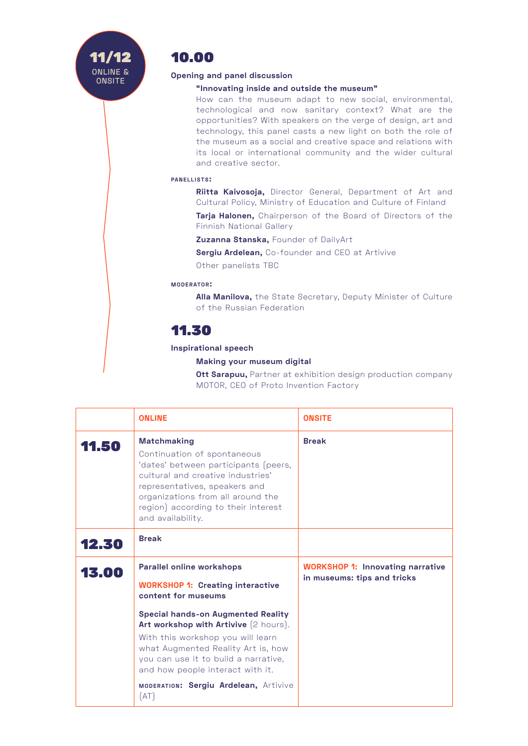## 10.00

#### **Opening and panel discussion**

#### **"Innovating inside and outside the museum"**

How can the museum adapt to new social, environmental, technological and now sanitary context? What are the opportunities? With speakers on the verge of design, art and technology, this panel casts a new light on both the role of the museum as a social and creative space and relations with its local or international community and the wider cultural and creative sector.

#### **PANELLISTS:**

**Riitta Kaivosoja,** Director General, Department of Art and Cultural Policy, Ministry of Education and Culture of Finland

**Tarja Halonen,** Chairperson of the Board of Directors of the Finnish National Gallery

**Zuzanna Stanska,** Founder of DailyArt

**Sergiu Ardelean,** Co-founder and CEO at Artivive

Other panelists TBC

#### **m o d e r ato r:**

**Alla Manilova,** the State Secretary, Deputy Minister of Culture of the Russian Federation

## 11.30

#### **Inspirational speech**

**Making your museum digital**

**Ott Sarapuu,** Partner at exhibition design production company MOTOR, CEO of Proto Invention Factory

|       | <b>ONLINE</b>                                                                                                                                                                                                                                                    | <b>ONSITE</b>                                                          |
|-------|------------------------------------------------------------------------------------------------------------------------------------------------------------------------------------------------------------------------------------------------------------------|------------------------------------------------------------------------|
| 11.50 | <b>Matchmaking</b><br>Continuation of spontaneous<br>'dates' between participants (peers,<br>cultural and creative industries'<br>representatives, speakers and<br>organizations from all around the<br>region) according to their interest<br>and availability. | <b>Break</b>                                                           |
| 12.30 | <b>Break</b>                                                                                                                                                                                                                                                     |                                                                        |
| 13.00 | <b>Parallel online workshops</b><br><b>WORKSHOP 1: Creating interactive</b><br>content for museums                                                                                                                                                               | <b>WORKSHOP 1: Innovating narrative</b><br>in museums: tips and tricks |
|       | <b>Special hands-on Augmented Reality</b><br>Art workshop with Artivive (2 hours).<br>With this workshop you will learn<br>what Augmented Reality Art is, how<br>you can use it to build a narrative,<br>and how people interact with it.                        |                                                                        |
|       | MODERATION: Sergiu Ardelean, Artivive<br>[AT]                                                                                                                                                                                                                    |                                                                        |